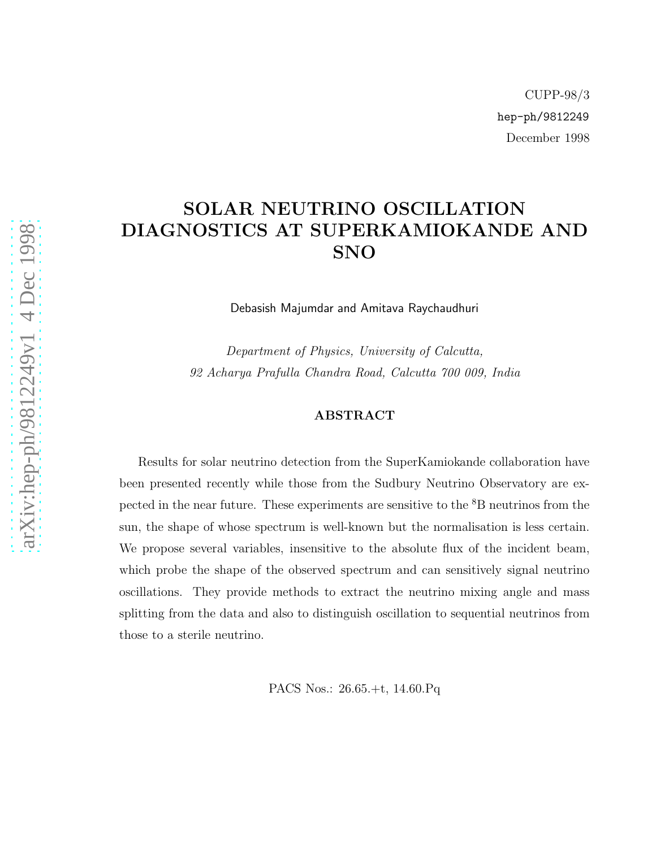# SOLAR NEUTRINO OSCILLATION DIAGNOSTICS AT SUPERKAMIOKANDE AND SNO

Debasish Majumdar and Amitava Raychaudhuri

Department of Physics, University of Calcutta, 92 Acharya Prafulla Chandra Road, Calcutta 700 009, India

#### ABSTRACT

Results for solar neutrino detection from the SuperKamiokande collaboration have been presented recently while those from the Sudbury Neutrino Observatory are expected in the near future. These experiments are sensitive to the <sup>8</sup>B neutrinos from the sun, the shape of whose spectrum is well-known but the normalisation is less certain. We propose several variables, insensitive to the absolute flux of the incident beam, which probe the shape of the observed spectrum and can sensitively signal neutrino oscillations. They provide methods to extract the neutrino mixing angle and mass splitting from the data and also to distinguish oscillation to sequential neutrinos from those to a sterile neutrino.

PACS Nos.: 26.65.+t, 14.60.Pq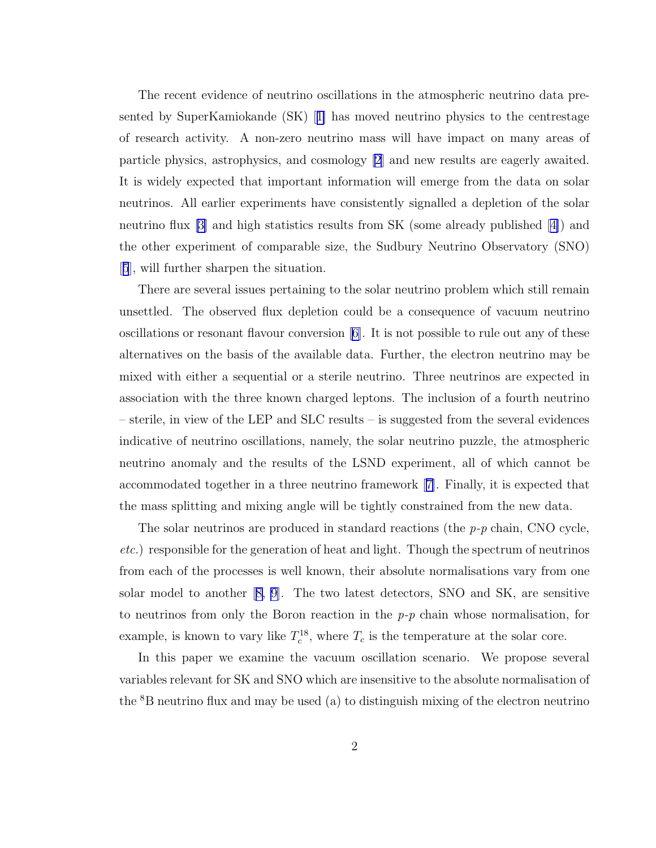The recent evidence of neutrino oscillations in the atmospheric neutrino data presented by SuperKamiokande (SK)[[1\]](#page-6-0) has moved neutrino physics to the centrestage of research activity. A non-zero neutrino mass will have impact on many areas of particle physics, astrophysics, and cosmology [\[2](#page-6-0)] and new results are eagerly awaited. It is widely expected that important information will emerge from the data on solar neutrinos. All earlier experiments have consistently signalled a depletion of the solar neutrino flux [\[3\]](#page-7-0) and high statistics results from SK (some already published[[4\]](#page-7-0)) and the other experiment of comparable size, the Sudbury Neutrino Observatory (SNO) [[5](#page-7-0)], will further sharpen the situation.

There are several issues pertaining to the solar neutrino problem which still remain unsettled. The observed flux depletion could be a consequence of vacuum neutrino oscillations or resonant flavour conversion[[6\]](#page-7-0). It is not possible to rule out any of these alternatives on the basis of the available data. Further, the electron neutrino may be mixed with either a sequential or a sterile neutrino. Three neutrinos are expected in association with the three known charged leptons. The inclusion of a fourth neutrino – sterile, in view of the LEP and SLC results – is suggested from the several evidences indicative of neutrino oscillations, namely, the solar neutrino puzzle, the atmospheric neutrino anomaly and the results of the LSND experiment, all of which cannot be accommodated together in a three neutrino framework[[7\]](#page-7-0). Finally, it is expected that the mass splitting and mixing angle will be tightly constrained from the new data.

The solar neutrinos are produced in standard reactions (the  $p-p$  chain, CNO cycle, etc.) responsible for the generation of heat and light. Though the spectrum of neutrinos from each of the processes is well known, their absolute normalisations vary from one solar model to another[[8, 9\]](#page-7-0). The two latest detectors, SNO and SK, are sensitive to neutrinos from only the Boron reaction in the  $p-p$  chain whose normalisation, for example, is known to vary like  $T_c^{18}$  $c^{18}$ , where  $T_c$  is the temperature at the solar core.

In this paper we examine the vacuum oscillation scenario. We propose several variables relevant for SK and SNO which are insensitive to the absolute normalisation of the  ${}^{8}B$  neutrino flux and may be used (a) to distinguish mixing of the electron neutrino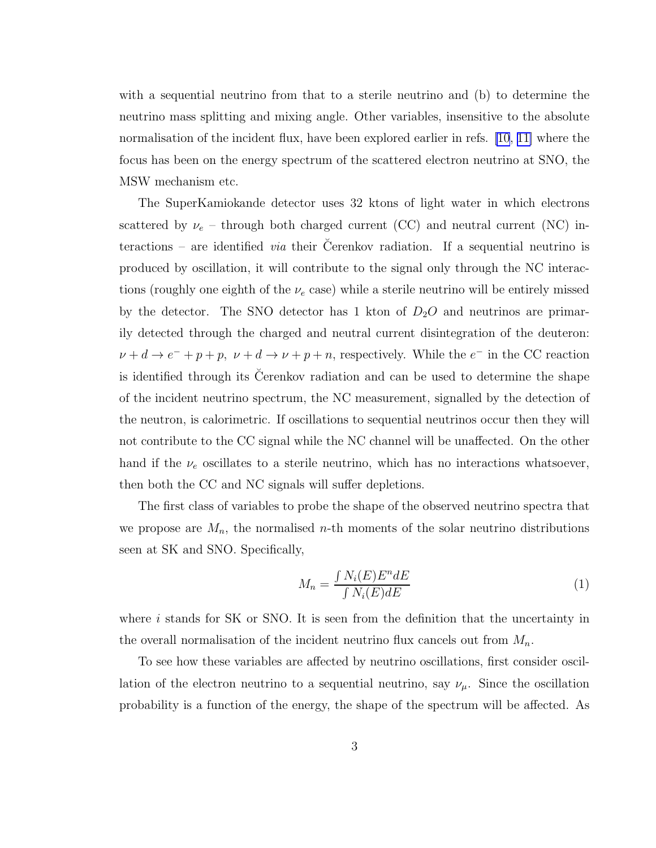with a sequential neutrino from that to a sterile neutrino and (b) to determine the neutrino mass splitting and mixing angle. Other variables, insensitive to the absolute normalisation of the incident flux, have been explored earlier in refs. [\[10](#page-7-0), [11\]](#page-7-0) where the focus has been on the energy spectrum of the scattered electron neutrino at SNO, the MSW mechanism etc.

The SuperKamiokande detector uses 32 ktons of light water in which electrons scattered by  $\nu_e$  – through both charged current (CC) and neutral current (NC) interactions – are identified *via* their Cerenkov radiation. If a sequential neutrino is produced by oscillation, it will contribute to the signal only through the NC interactions (roughly one eighth of the  $\nu_e$  case) while a sterile neutrino will be entirely missed by the detector. The SNO detector has 1 kton of  $D_2O$  and neutrinos are primarily detected through the charged and neutral current disintegration of the deuteron:  $\nu + d \rightarrow e^- + p + p$ ,  $\nu + d \rightarrow \nu + p + n$ , respectively. While the  $e^-$  in the CC reaction is identified through its Cerenkov radiation and can be used to determine the shape of the incident neutrino spectrum, the NC measurement, signalled by the detection of the neutron, is calorimetric. If oscillations to sequential neutrinos occur then they will not contribute to the CC signal while the NC channel will be unaffected. On the other hand if the  $\nu_e$  oscillates to a sterile neutrino, which has no interactions whatsoever, then both the CC and NC signals will suffer depletions.

The first class of variables to probe the shape of the observed neutrino spectra that we propose are  $M_n$ , the normalised *n*-th moments of the solar neutrino distributions seen at SK and SNO. Specifically,

$$
M_n = \frac{\int N_i(E)E^n dE}{\int N_i(E) dE} \tag{1}
$$

where  $i$  stands for SK or SNO. It is seen from the definition that the uncertainty in the overall normalisation of the incident neutrino flux cancels out from  $M_n$ .

To see how these variables are affected by neutrino oscillations, first consider oscillation of the electron neutrino to a sequential neutrino, say  $\nu_{\mu}$ . Since the oscillation probability is a function of the energy, the shape of the spectrum will be affected. As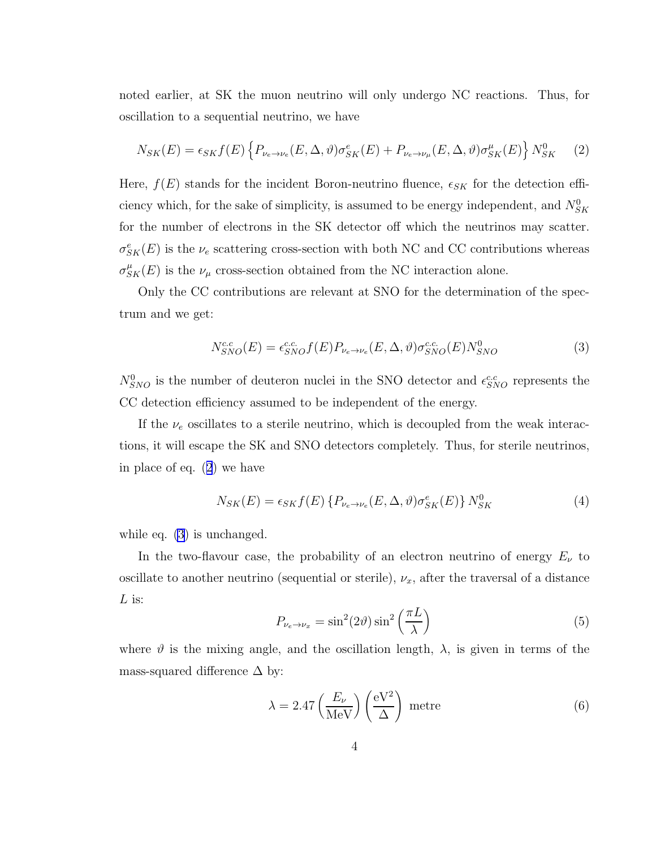noted earlier, at SK the muon neutrino will only undergo NC reactions. Thus, for oscillation to a sequential neutrino, we have

$$
N_{SK}(E) = \epsilon_{SK} f(E) \left\{ P_{\nu_e \to \nu_e}(E, \Delta, \vartheta) \sigma_{SK}^e(E) + P_{\nu_e \to \nu_\mu}(E, \Delta, \vartheta) \sigma_{SK}^\mu(E) \right\} N_{SK}^0 \tag{2}
$$

Here,  $f(E)$  stands for the incident Boron-neutrino fluence,  $\epsilon_{SK}$  for the detection efficiency which, for the sake of simplicity, is assumed to be energy independent, and  $N_{SK}^0$ for the number of electrons in the SK detector off which the neutrinos may scatter.  $\sigma_{SK}^{e}(E)$  is the  $\nu_e$  scattering cross-section with both NC and CC contributions whereas  $\sigma_{SK}^{\mu}(E)$  is the  $\nu_{\mu}$  cross-section obtained from the NC interaction alone.

Only the CC contributions are relevant at SNO for the determination of the spectrum and we get:

$$
N_{SNO}^{c.c}(E) = \epsilon_{SNO}^{c.c.} f(E) P_{\nu_e \to \nu_e}(E, \Delta, \vartheta) \sigma_{SNO}^{c.c.}(E) N_{SNO}^0
$$
\n(3)

 $N_{SNO}^0$  is the number of deuteron nuclei in the SNO detector and  $\epsilon_{SNO}^{c.c}$  represents the CC detection efficiency assumed to be independent of the energy.

If the  $\nu_e$  oscillates to a sterile neutrino, which is decoupled from the weak interactions, it will escape the SK and SNO detectors completely. Thus, for sterile neutrinos, in place of eq. (2) we have

$$
N_{SK}(E) = \epsilon_{SK} f(E) \left\{ P_{\nu_e \to \nu_e}(E, \Delta, \vartheta) \sigma_{SK}^e(E) \right\} N_{SK}^0 \tag{4}
$$

while eq. (3) is unchanged.

In the two-flavour case, the probability of an electron neutrino of energy  $E_{\nu}$  to oscillate to another neutrino (sequential or sterile),  $\nu_x$ , after the traversal of a distance  $L$  is:

$$
P_{\nu_e \to \nu_x} = \sin^2(2\vartheta) \sin^2\left(\frac{\pi L}{\lambda}\right) \tag{5}
$$

where  $\vartheta$  is the mixing angle, and the oscillation length,  $\lambda$ , is given in terms of the mass-squared difference  $\Delta$  by:

$$
\lambda = 2.47 \left(\frac{E_{\nu}}{\text{MeV}}\right) \left(\frac{\text{eV}^2}{\Delta}\right) \text{ metre} \tag{6}
$$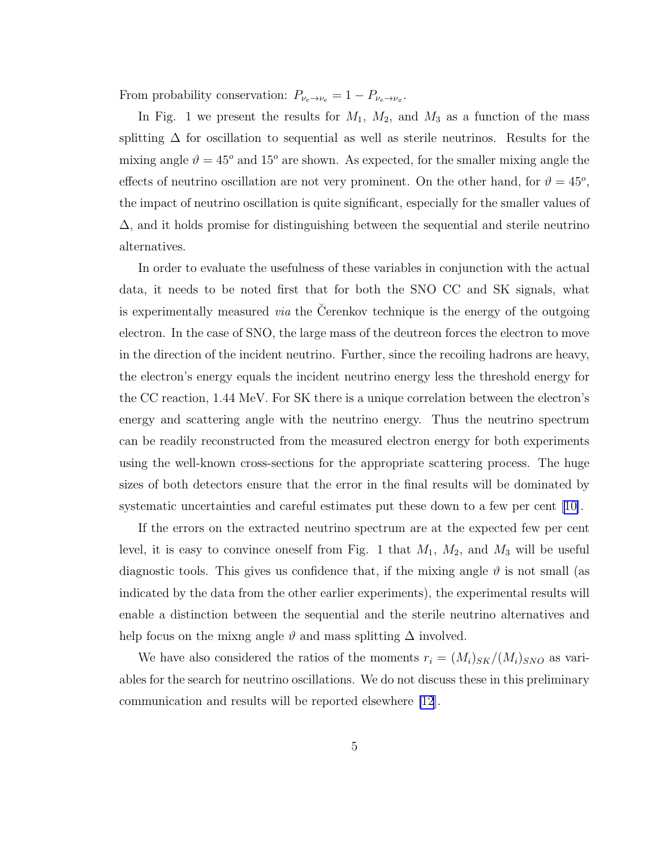From probability conservation:  $P_{\nu_e \to \nu_e} = 1 - P_{\nu_e \to \nu_x}$ .

In Fig. 1 we present the results for  $M_1$ ,  $M_2$ , and  $M_3$  as a function of the mass splitting  $\Delta$  for oscillation to sequential as well as sterile neutrinos. Results for the mixing angle  $\vartheta = 45^{\circ}$  and 15° are shown. As expected, for the smaller mixing angle the effects of neutrino oscillation are not very prominent. On the other hand, for  $\vartheta = 45^{\circ}$ , the impact of neutrino oscillation is quite significant, especially for the smaller values of ∆, and it holds promise for distinguishing between the sequential and sterile neutrino alternatives.

In order to evaluate the usefulness of these variables in conjunction with the actual data, it needs to be noted first that for both the SNO CC and SK signals, what is experimentally measured *via* the Cerenkov technique is the energy of the outgoing electron. In the case of SNO, the large mass of the deutreon forces the electron to move in the direction of the incident neutrino. Further, since the recoiling hadrons are heavy, the electron's energy equals the incident neutrino energy less the threshold energy for the CC reaction, 1.44 MeV. For SK there is a unique correlation between the electron's energy and scattering angle with the neutrino energy. Thus the neutrino spectrum can be readily reconstructed from the measured electron energy for both experiments using the well-known cross-sections for the appropriate scattering process. The huge sizes of both detectors ensure that the error in the final results will be dominated by systematic uncertainties and careful estimates put these down to a few per cent[[10\]](#page-7-0).

If the errors on the extracted neutrino spectrum are at the expected few per cent level, it is easy to convince oneself from Fig. 1 that  $M_1$ ,  $M_2$ , and  $M_3$  will be useful diagnostic tools. This gives us confidence that, if the mixing angle  $\vartheta$  is not small (as indicated by the data from the other earlier experiments), the experimental results will enable a distinction between the sequential and the sterile neutrino alternatives and help focus on the mixng angle  $\vartheta$  and mass splitting  $\Delta$  involved.

We have also considered the ratios of the moments  $r_i = (M_i)_{SK}/(M_i)_{SNO}$  as variables for the search for neutrino oscillations. We do not discuss these in this preliminary communication and results will be reported elsewhere [\[12](#page-7-0)].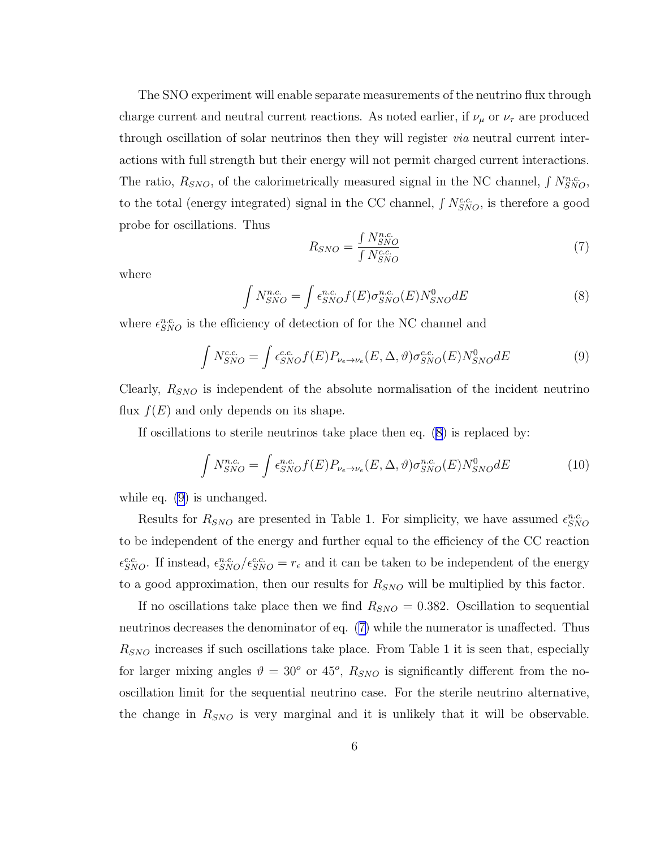The SNO experiment will enable separate measurements of the neutrino flux through charge current and neutral current reactions. As noted earlier, if  $\nu_{\mu}$  or  $\nu_{\tau}$  are produced through oscillation of solar neutrinos then they will register via neutral current interactions with full strength but their energy will not permit charged current interactions. The ratio,  $R_{SNO}$ , of the calorimetrically measured signal in the NC channel,  $\int N_{SNO}^{n.c.}$ to the total (energy integrated) signal in the CC channel,  $\int N_{SNO}^{c.c.}$ , is therefore a good probe for oscillations. Thus

$$
R_{SNO} = \frac{\int N_{SNO}^{n.c.}}{\int N_{SNO}^{c.c.}}\tag{7}
$$

where

$$
\int N_{SNO}^{n.c.} = \int \epsilon_{SNO}^{n.c.} f(E) \sigma_{SNO}^{n.c.}(E) N_{SNO}^{0} dE \tag{8}
$$

where  $\epsilon_{SNO}^{n.c.}$  is the efficiency of detection of for the NC channel and

$$
\int N_{SNO}^{c.c.} = \int \epsilon_{SNO}^{c.c.} f(E) P_{\nu_e \to \nu_e}(E, \Delta, \vartheta) \sigma_{SNO}^{c.c.}(E) N_{SNO}^0 dE \tag{9}
$$

Clearly,  $R_{SNO}$  is independent of the absolute normalisation of the incident neutrino flux  $f(E)$  and only depends on its shape.

If oscillations to sterile neutrinos take place then eq. (8) is replaced by:

$$
\int N_{SNO}^{n.c.} = \int \epsilon_{SNO}^{n.c.} f(E) P_{\nu_e \to \nu_e}(E, \Delta, \vartheta) \sigma_{SNO}^{n.c.}(E) N_{SNO}^0 dE \tag{10}
$$

while eq. (9) is unchanged.

Results for  $R_{SNO}$  are presented in Table 1. For simplicity, we have assumed  $\epsilon_{SNO}^{n.c.}$ to be independent of the energy and further equal to the efficiency of the CC reaction  $\epsilon_{SNO}^{c.c.}$  If instead,  $\epsilon_{SNO}^{n.c.}/\epsilon_{SNO}^{c.c.} = r_{\epsilon}$  and it can be taken to be independent of the energy to a good approximation, then our results for  $R_{SNO}$  will be multiplied by this factor.

If no oscillations take place then we find  $R_{SNO} = 0.382$ . Oscillation to sequential neutrinos decreases the denominator of eq. (7) while the numerator is unaffected. Thus  $R_{SNO}$  increases if such oscillations take place. From Table 1 it is seen that, especially for larger mixing angles  $\vartheta = 30^{\circ}$  or  $45^{\circ}$ ,  $R_{SNO}$  is significantly different from the nooscillation limit for the sequential neutrino case. For the sterile neutrino alternative, the change in  $R_{SNO}$  is very marginal and it is unlikely that it will be observable.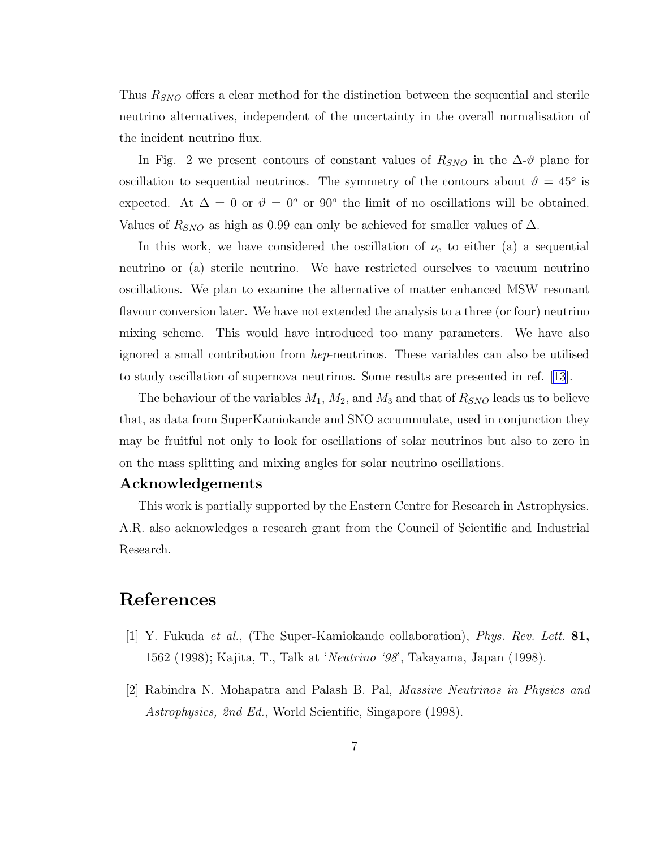<span id="page-6-0"></span>Thus  $R_{SNO}$  offers a clear method for the distinction between the sequential and sterile neutrino alternatives, independent of the uncertainty in the overall normalisation of the incident neutrino flux.

In Fig. 2 we present contours of constant values of  $R_{SNO}$  in the  $\Delta \vartheta$  plane for oscillation to sequential neutrinos. The symmetry of the contours about  $\vartheta = 45^{\circ}$  is expected. At  $\Delta = 0$  or  $\vartheta = 0^{\circ}$  or  $90^{\circ}$  the limit of no oscillations will be obtained. Values of  $R_{SNO}$  as high as 0.99 can only be achieved for smaller values of  $\Delta$ .

In this work, we have considered the oscillation of  $\nu_e$  to either (a) a sequential neutrino or (a) sterile neutrino. We have restricted ourselves to vacuum neutrino oscillations. We plan to examine the alternative of matter enhanced MSW resonant flavour conversion later. We have not extended the analysis to a three (or four) neutrino mixing scheme. This would have introduced too many parameters. We have also ignored a small contribution from hep-neutrinos. These variables can also be utilised to study oscillation of supernova neutrinos. Some results are presented in ref.[[13](#page-7-0)].

The behaviour of the variables  $M_1, M_2$ , and  $M_3$  and that of  $R_{SNO}$  leads us to believe that, as data from SuperKamiokande and SNO accummulate, used in conjunction they may be fruitful not only to look for oscillations of solar neutrinos but also to zero in on the mass splitting and mixing angles for solar neutrino oscillations.

#### Acknowledgements

This work is partially supported by the Eastern Centre for Research in Astrophysics. A.R. also acknowledges a research grant from the Council of Scientific and Industrial Research.

## References

- [1] Y. Fukuda et al., (The Super-Kamiokande collaboration), Phys. Rev. Lett. 81, 1562 (1998); Kajita, T., Talk at 'Neutrino '98', Takayama, Japan (1998).
- [2] Rabindra N. Mohapatra and Palash B. Pal, Massive Neutrinos in Physics and Astrophysics, 2nd Ed., World Scientific, Singapore (1998).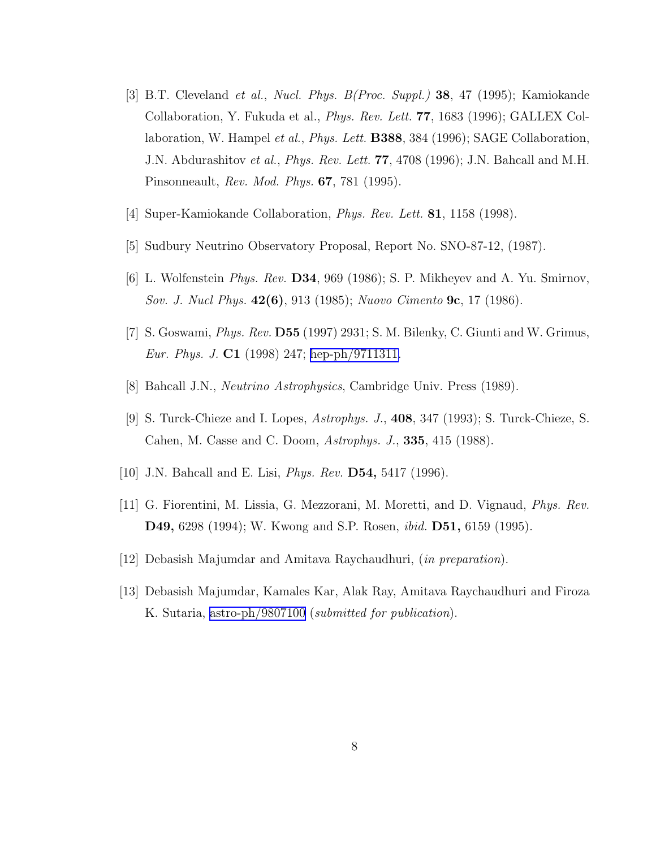- <span id="page-7-0"></span>[3] B.T. Cleveland et al., Nucl. Phys. B(Proc. Suppl.) 38, 47 (1995); Kamiokande Collaboration, Y. Fukuda et al., Phys. Rev. Lett. 77, 1683 (1996); GALLEX Collaboration, W. Hampel et al., Phys. Lett. B388, 384 (1996); SAGE Collaboration, J.N. Abdurashitov et al., Phys. Rev. Lett. 77, 4708 (1996); J.N. Bahcall and M.H. Pinsonneault, Rev. Mod. Phys. 67, 781 (1995).
- [4] Super-Kamiokande Collaboration, *Phys. Rev. Lett.* **81**, 1158 (1998).
- [5] Sudbury Neutrino Observatory Proposal, Report No. SNO-87-12, (1987).
- [6] L. Wolfenstein Phys. Rev. D34, 969 (1986); S. P. Mikheyev and A. Yu. Smirnov, Sov. J. Nucl Phys. 42(6), 913 (1985); Nuovo Cimento 9c, 17 (1986).
- [7] S. Goswami, Phys. Rev. D55 (1997) 2931; S. M. Bilenky, C. Giunti and W. Grimus, Eur. Phys. J. C1 (1998) 247; [hep-ph/9711311.](http://arxiv.org/abs/hep-ph/9711311)
- [8] Bahcall J.N., Neutrino Astrophysics, Cambridge Univ. Press (1989).
- [9] S. Turck-Chieze and I. Lopes, Astrophys. J., 408, 347 (1993); S. Turck-Chieze, S. Cahen, M. Casse and C. Doom, Astrophys. J., 335, 415 (1988).
- [10] J.N. Bahcall and E. Lisi, *Phys. Rev.* **D54**, 5417 (1996).
- [11] G. Fiorentini, M. Lissia, G. Mezzorani, M. Moretti, and D. Vignaud, Phys. Rev. D49, 6298 (1994); W. Kwong and S.P. Rosen, ibid. D51, 6159 (1995).
- [12] Debasish Majumdar and Amitava Raychaudhuri, (in preparation).
- [13] Debasish Majumdar, Kamales Kar, Alak Ray, Amitava Raychaudhuri and Firoza K. Sutaria, [astro-ph/9807100](http://arxiv.org/abs/astro-ph/9807100) (submitted for publication).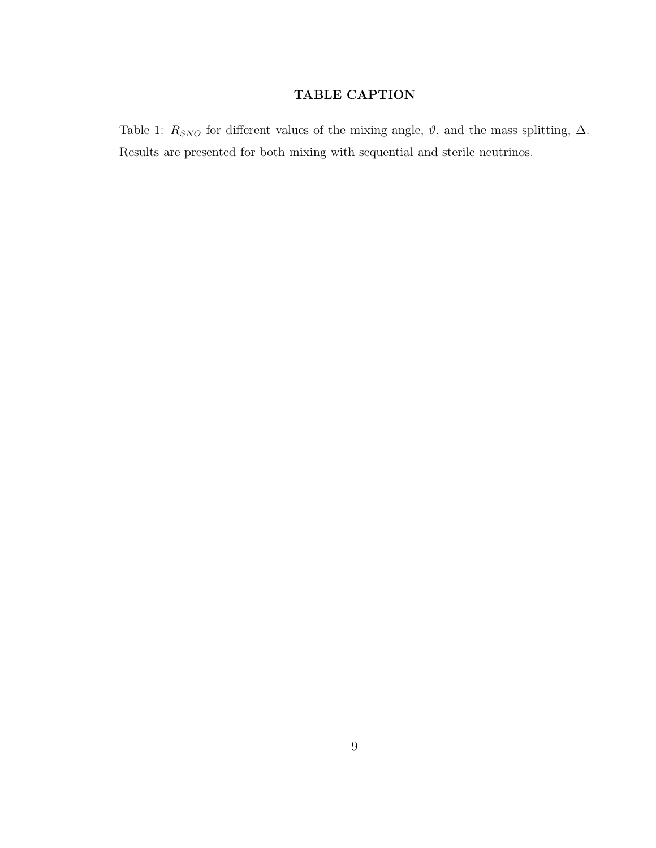### TABLE CAPTION

Table 1:  $R_{SNO}$  for different values of the mixing angle,  $\vartheta$ , and the mass splitting,  $\Delta$ . Results are presented for both mixing with sequential and sterile neutrinos.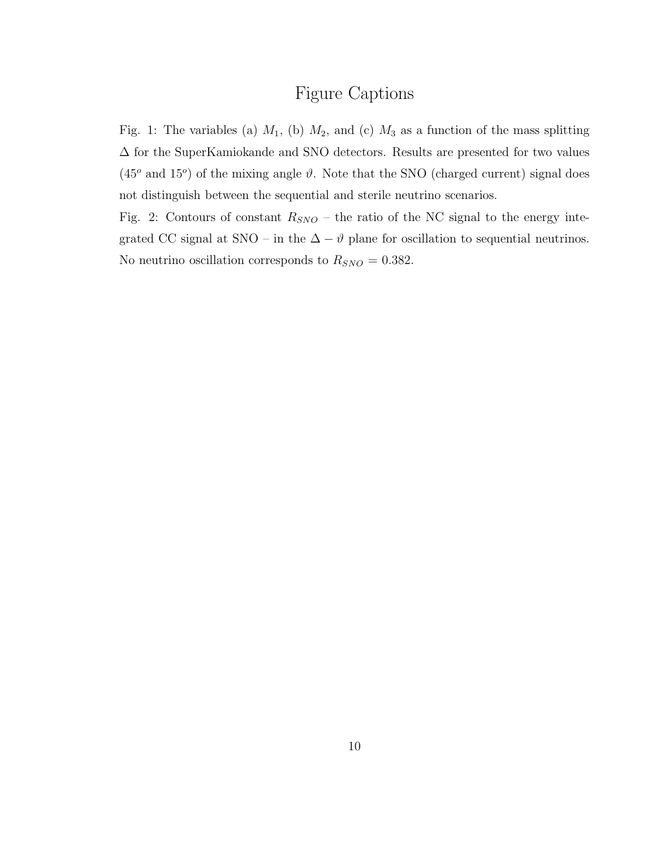### Figure Captions

Fig. 1: The variables (a)  $M_1$ , (b)  $M_2$ , and (c)  $M_3$  as a function of the mass splitting ∆ for the SuperKamiokande and SNO detectors. Results are presented for two values (45<sup>o</sup> and 15<sup>o</sup>) of the mixing angle  $\vartheta$ . Note that the SNO (charged current) signal does not distinguish between the sequential and sterile neutrino scenarios.

Fig. 2: Contours of constant  $R_{SNO}$  – the ratio of the NC signal to the energy integrated CC signal at SNO – in the  $\Delta - \vartheta$  plane for oscillation to sequential neutrinos. No neutrino oscillation corresponds to  $R_{SNO} = 0.382$ .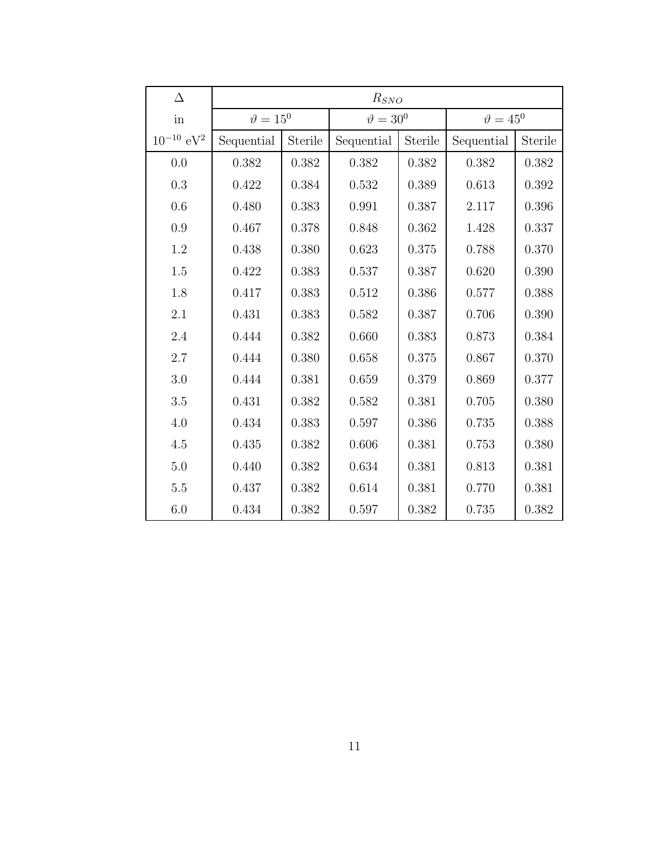| Δ                          | $R_{SNO}$        |           |                    |         |                  |         |
|----------------------------|------------------|-----------|--------------------|---------|------------------|---------|
| in                         | $\vartheta=15^0$ |           | $\vartheta = 30^0$ |         | $\vartheta=45^0$ |         |
| $10^{-10}$ eV <sup>2</sup> | Sequential       | Sterile   | Sequential         | Sterile | Sequential       | Sterile |
| 0.0                        | $0.382\,$        | $0.382\,$ | 0.382              | 0.382   | $0.382\,$        | 0.382   |
| 0.3                        | 0.422            | 0.384     | 0.532              | 0.389   | 0.613            | 0.392   |
| 0.6                        | 0.480            | 0.383     | 0.991              | 0.387   | 2.117            | 0.396   |
| 0.9                        | 0.467            | 0.378     | 0.848              | 0.362   | 1.428            | 0.337   |
| $1.2\,$                    | 0.438            | 0.380     | 0.623              | 0.375   | 0.788            | 0.370   |
| 1.5                        | 0.422            | 0.383     | 0.537              | 0.387   | 0.620            | 0.390   |
| 1.8                        | 0.417            | 0.383     | 0.512              | 0.386   | 0.577            | 0.388   |
| 2.1                        | 0.431            | 0.383     | 0.582              | 0.387   | 0.706            | 0.390   |
| 2.4                        | 0.444            | 0.382     | 0.660              | 0.383   | 0.873            | 0.384   |
| 2.7                        | 0.444            | 0.380     | 0.658              | 0.375   | 0.867            | 0.370   |
| 3.0                        | 0.444            | 0.381     | 0.659              | 0.379   | 0.869            | 0.377   |
| 3.5                        | 0.431            | 0.382     | 0.582              | 0.381   | 0.705            | 0.380   |
| 4.0                        | 0.434            | 0.383     | 0.597              | 0.386   | 0.735            | 0.388   |
| $4.5\,$                    | 0.435            | 0.382     | 0.606              | 0.381   | 0.753            | 0.380   |
| $5.0\,$                    | 0.440            | 0.382     | 0.634              | 0.381   | 0.813            | 0.381   |
| 5.5                        | 0.437            | 0.382     | 0.614              | 0.381   | 0.770            | 0.381   |
| $6.0\,$                    | 0.434            | 0.382     | 0.597              | 0.382   | 0.735            | 0.382   |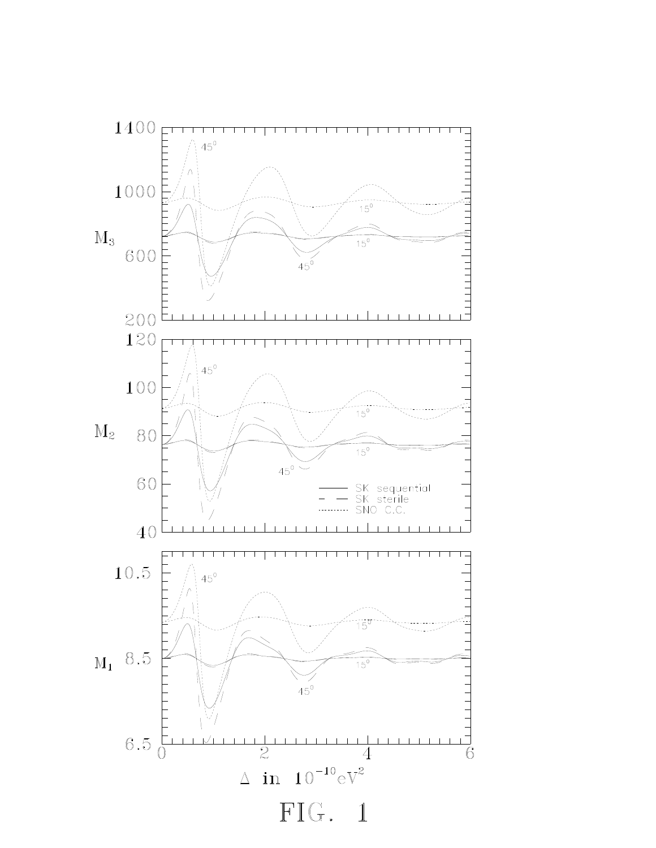